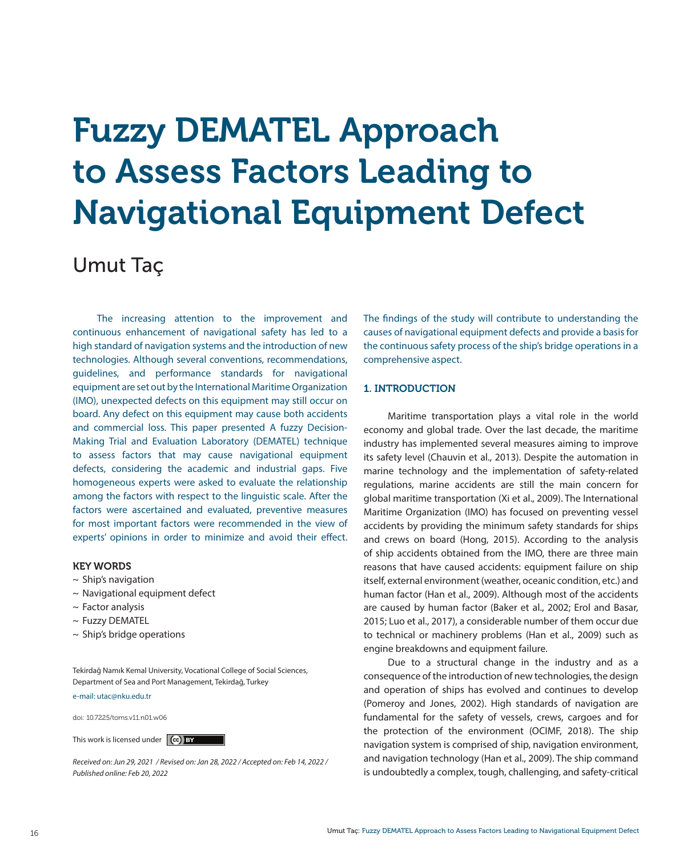# Fuzzy DEMATEL Approach to Assess Factors Leading to Navigational Equipment Defect

# Umut Taç

The increasing attention to the improvement and continuous enhancement of navigational safety has led to a high standard of navigation systems and the introduction of new technologies. Although several conventions, recommendations, guidelines, and performance standards for navigational equipment are set out by the International Maritime Organization (IMO), unexpected defects on this equipment may still occur on board. Any defect on this equipment may cause both accidents and commercial loss. This paper presented A fuzzy Decision-Making Trial and Evaluation Laboratory (DEMATEL) technique to assess factors that may cause navigational equipment defects, considering the academic and industrial gaps. Five homogeneous experts were asked to evaluate the relationship among the factors with respect to the linguistic scale. After the factors were ascertained and evaluated, preventive measures for most important factors were recommended in the view of experts' opinions in order to minimize and avoid their effect.

# KEY WORDS

- $\sim$  Ship's navigation
- $\sim$  Navigational equipment defect
- $\sim$  Factor analysis
- ~ Fuzzy DEMATEL
- ~ Ship's bridge operations

Tekirdağ Namık Kemal University, Vocational College of Social Sciences, Department of Sea and Port Management, Tekirdağ, Turkey

e-mail: utac@nku.edu.tr

doi: 10.7225/toms.v11.n01.w06

This work is licensed under  $\left($  (cc) BY

*Received on: Jun 29, 2021 / Revised on: Jan 28, 2022 / Accepted on: Feb 14, 2022 / Published online: Feb 20, 2022*

The findings of the study will contribute to understanding the causes of navigational equipment defects and provide a basis for the continuous safety process of the ship's bridge operations in a comprehensive aspect.

# 1. INTRODUCTION

Maritime transportation plays a vital role in the world economy and global trade. Over the last decade, the maritime industry has implemented several measures aiming to improve its safety level (Chauvin et al., 2013). Despite the automation in marine technology and the implementation of safety-related regulations, marine accidents are still the main concern for global maritime transportation (Xi et al., 2009). The International Maritime Organization (IMO) has focused on preventing vessel accidents by providing the minimum safety standards for ships and crews on board (Hong, 2015). According to the analysis of ship accidents obtained from the IMO, there are three main reasons that have caused accidents: equipment failure on ship itself, external environment (weather, oceanic condition, etc.) and human factor (Han et al., 2009). Although most of the accidents are caused by human factor (Baker et al., 2002; Erol and Basar, 2015; Luo et al., 2017), a considerable number of them occur due to technical or machinery problems (Han et al., 2009) such as engine breakdowns and equipment failure.

Due to a structural change in the industry and as a consequence of the introduction of new technologies, the design and operation of ships has evolved and continues to develop (Pomeroy and Jones, 2002). High standards of navigation are fundamental for the safety of vessels, crews, cargoes and for the protection of the environment (OCIMF, 2018). The ship navigation system is comprised of ship, navigation environment, and navigation technology (Han et al., 2009). The ship command is undoubtedly a complex, tough, challenging, and safety-critical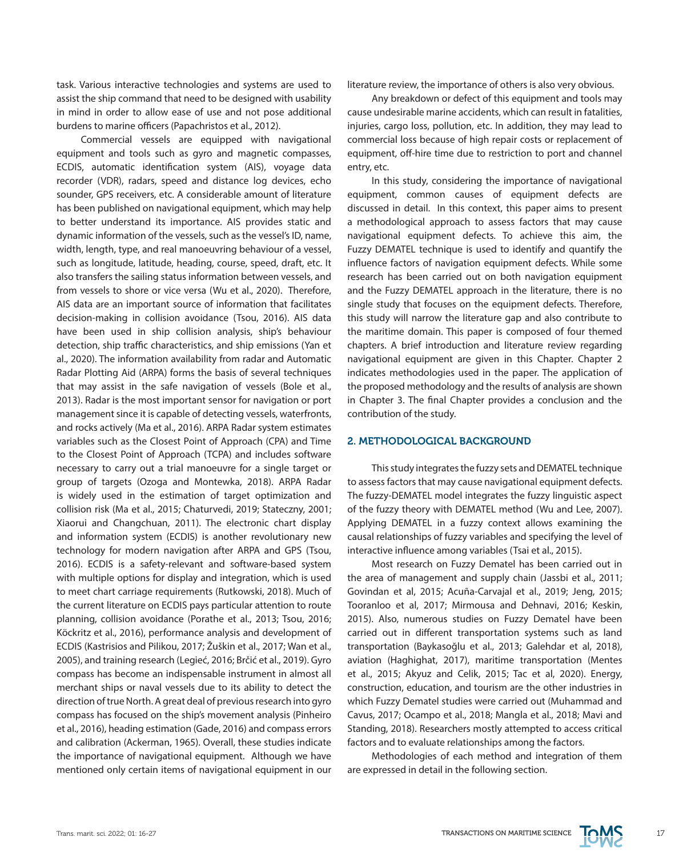task. Various interactive technologies and systems are used to assist the ship command that need to be designed with usability in mind in order to allow ease of use and not pose additional burdens to marine officers (Papachristos et al., 2012).

Commercial vessels are equipped with navigational equipment and tools such as gyro and magnetic compasses, ECDIS, automatic identification system (AIS), voyage data recorder (VDR), radars, speed and distance log devices, echo sounder, GPS receivers, etc. A considerable amount of literature has been published on navigational equipment, which may help to better understand its importance. AIS provides static and dynamic information of the vessels, such as the vessel's ID, name, width, length, type, and real manoeuvring behaviour of a vessel, such as longitude, latitude, heading, course, speed, draft, etc. It also transfers the sailing status information between vessels, and from vessels to shore or vice versa (Wu et al., 2020). Therefore, AIS data are an important source of information that facilitates decision-making in collision avoidance (Tsou, 2016). AIS data have been used in ship collision analysis, ship's behaviour detection, ship traffic characteristics, and ship emissions (Yan et al., 2020). The information availability from radar and Automatic Radar Plotting Aid (ARPA) forms the basis of several techniques that may assist in the safe navigation of vessels (Bole et al., 2013). Radar is the most important sensor for navigation or port management since it is capable of detecting vessels, waterfronts, and rocks actively (Ma et al., 2016). ARPA Radar system estimates variables such as the Closest Point of Approach (CPA) and Time to the Closest Point of Approach (TCPA) and includes software necessary to carry out a trial manoeuvre for a single target or group of targets (Ozoga and Montewka, 2018). ARPA Radar is widely used in the estimation of target optimization and collision risk (Ma et al., 2015; Chaturvedi, 2019; Stateczny, 2001; Xiaorui and Changchuan, 2011). The electronic chart display and information system (ECDIS) is another revolutionary new technology for modern navigation after ARPA and GPS (Tsou, 2016). ECDIS is a safety-relevant and software-based system with multiple options for display and integration, which is used to meet chart carriage requirements (Rutkowski, 2018). Much of the current literature on ECDIS pays particular attention to route planning, collision avoidance (Porathe et al., 2013; Tsou, 2016; Köckritz et al., 2016), performance analysis and development of ECDIS (Kastrisios and Pilikou, 2017; Žuškin et al., 2017; Wan et al., 2005), and training research (Legieć, 2016; Brčić et al., 2019). Gyro compass has become an indispensable instrument in almost all merchant ships or naval vessels due to its ability to detect the direction of true North. A great deal of previous research into gyro compass has focused on the ship's movement analysis (Pinheiro et al., 2016), heading estimation (Gade, 2016) and compass errors and calibration (Ackerman, 1965). Overall, these studies indicate the importance of navigational equipment. Although we have mentioned only certain items of navigational equipment in our literature review, the importance of others is also very obvious.

Any breakdown or defect of this equipment and tools may cause undesirable marine accidents, which can result in fatalities, injuries, cargo loss, pollution, etc. In addition, they may lead to commercial loss because of high repair costs or replacement of equipment, off-hire time due to restriction to port and channel entry, etc.

In this study, considering the importance of navigational equipment, common causes of equipment defects are discussed in detail. In this context, this paper aims to present a methodological approach to assess factors that may cause navigational equipment defects. To achieve this aim, the Fuzzy DEMATEL technique is used to identify and quantify the influence factors of navigation equipment defects. While some research has been carried out on both navigation equipment and the Fuzzy DEMATEL approach in the literature, there is no single study that focuses on the equipment defects. Therefore, this study will narrow the literature gap and also contribute to the maritime domain. This paper is composed of four themed chapters. A brief introduction and literature review regarding navigational equipment are given in this Chapter. Chapter 2 indicates methodologies used in the paper. The application of the proposed methodology and the results of analysis are shown in Chapter 3. The final Chapter provides a conclusion and the contribution of the study.

## 2. METHODOLOGICAL BACKGROUND

This study integrates the fuzzy sets and DEMATEL technique to assess factors that may cause navigational equipment defects. The fuzzy-DEMATEL model integrates the fuzzy linguistic aspect of the fuzzy theory with DEMATEL method (Wu and Lee, 2007). Applying DEMATEL in a fuzzy context allows examining the causal relationships of fuzzy variables and specifying the level of interactive influence among variables (Tsai et al., 2015).

Most research on Fuzzy Dematel has been carried out in the area of management and supply chain (Jassbi et al., 2011; Govindan et al, 2015; Acuña-Carvajal et al., 2019; Jeng, 2015; Tooranloo et al, 2017; Mirmousa and Dehnavi, 2016; Keskin, 2015). Also, numerous studies on Fuzzy Dematel have been carried out in different transportation systems such as land transportation (Baykasoğlu et al., 2013; Galehdar et al, 2018), aviation (Haghighat, 2017), maritime transportation (Mentes et al., 2015; Akyuz and Celik, 2015; Tac et al, 2020). Energy, construction, education, and tourism are the other industries in which Fuzzy Dematel studies were carried out (Muhammad and Cavus, 2017; Ocampo et al., 2018; Mangla et al., 2018; Mavi and Standing, 2018). Researchers mostly attempted to access critical factors and to evaluate relationships among the factors.

Methodologies of each method and integration of them are expressed in detail in the following section.

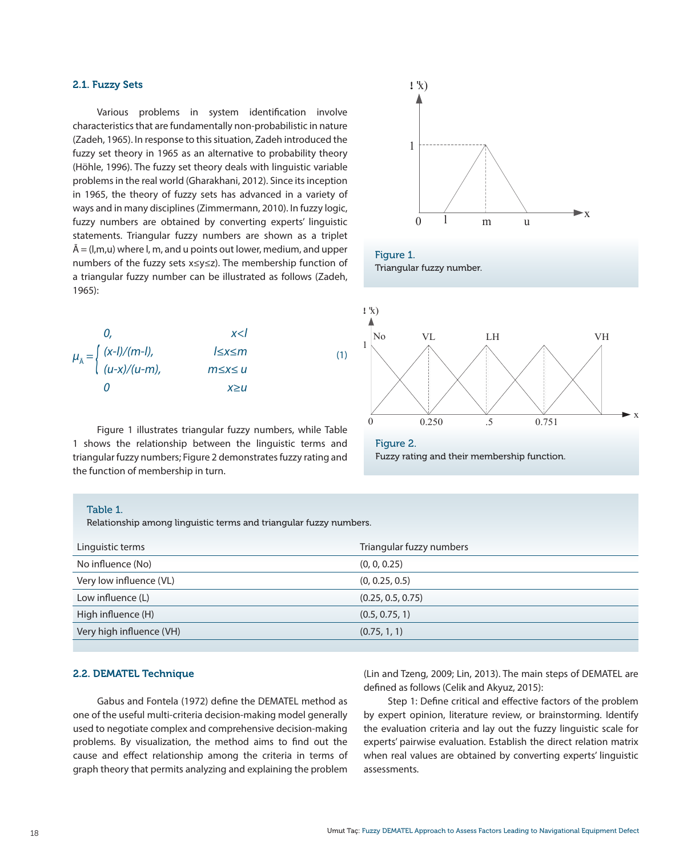# 2.1. Fuzzy Sets

Various problems in system identification involve characteristics that are fundamentally non-probabilistic in nature (Zadeh, 1965). In response to this situation, Zadeh introduced the fuzzy set theory in 1965 as an alternative to probability theory (Höhle, 1996). The fuzzy set theory deals with linguistic variable problems in the real world (Gharakhani, 2012). Since its inception in 1965, the theory of fuzzy sets has advanced in a variety of ways and in many disciplines (Zimmermann, 2010). In fuzzy logic, fuzzy numbers are obtained by converting experts' linguistic statements. Triangular fuzzy numbers are shown as a triplet  $\tilde{A} = (I,m,u)$  where I, m, and u points out lower, medium, and upper numbers of the fuzzy sets x≤y≤z). The membership function of a triangular fuzzy number can be illustrated as follows (Zadeh, 1965):



Figure 1. Triangular fuzzy number.



Figure 1 illustrates triangular fuzzy numbers, while Table 1 shows the relationship between the linguistic terms and triangular fuzzy numbers; Figure 2 demonstrates fuzzy rating and the function of membership in turn.

Figure 2. Fuzzy rating and their membership function.

x

#### Table 1.

Relationship among linguistic terms and triangular fuzzy numbers.

| Linguistic terms         | Triangular fuzzy numbers |
|--------------------------|--------------------------|
| No influence (No)        | (0, 0, 0.25)             |
| Very low influence (VL)  | (0, 0.25, 0.5)           |
| Low influence (L)        | (0.25, 0.5, 0.75)        |
| High influence (H)       | (0.5, 0.75, 1)           |
| Very high influence (VH) | (0.75, 1, 1)             |

## 2.2. DEMATEL Technique

Gabus and Fontela (1972) define the DEMATEL method as one of the useful multi-criteria decision-making model generally used to negotiate complex and comprehensive decision-making problems. By visualization, the method aims to find out the cause and effect relationship among the criteria in terms of graph theory that permits analyzing and explaining the problem

(Lin and Tzeng, 2009; Lin, 2013). The main steps of DEMATEL are defined as follows (Celik and Akyuz, 2015):

Step 1: Define critical and effective factors of the problem by expert opinion, literature review, or brainstorming. Identify the evaluation criteria and lay out the fuzzy linguistic scale for experts' pairwise evaluation. Establish the direct relation matrix when real values are obtained by converting experts' linguistic assessments.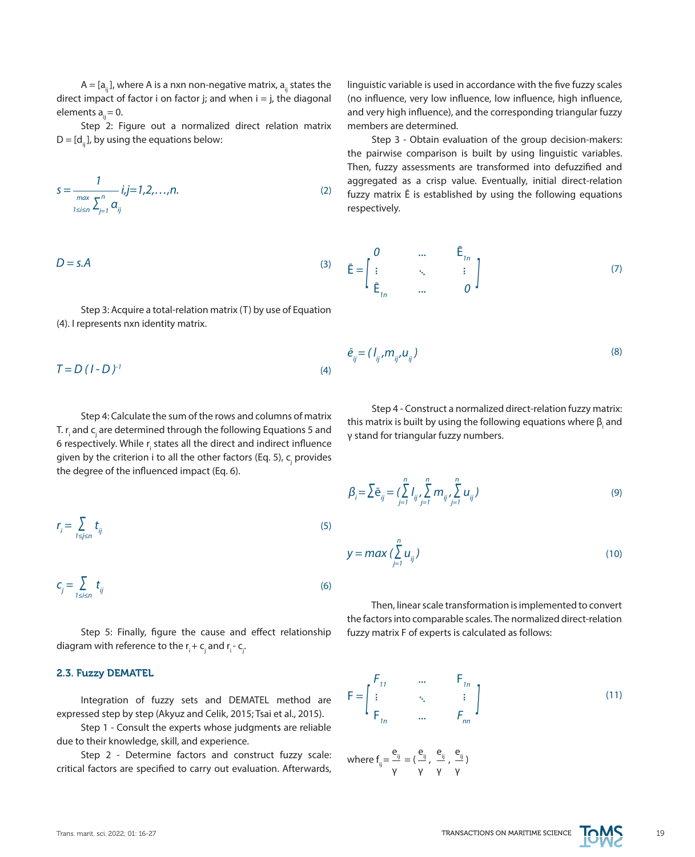$A = [a_{ij}]$ , where A is a nxn non-negative matrix,  $a_{ij}$  states the direct impact of factor i on factor j; and when  $i = j$ , the diagonal elements  $a<sub>ii</sub> = 0$ .

Step 2: Figure out a normalized direct relation matrix  $D = [d_{ii}]$ , by using the equations below:

$$
s = \frac{1}{\sum_{1 \le i \le n} \sum_{j=1}^{n} a_{ij}} i, j = 1, 2, ..., n.
$$
 (2)

$$
D = s.A \tag{3}
$$

Step 3: Acquire a total-relation matrix (T) by use of Equation (4). I represents nxn identity matrix.

$$
T = D (I - D)^{-1}
$$
 (4)

Step 4: Calculate the sum of the rows and columns of matrix T. r<sub>i</sub> and c<sub>j</sub> are determined through the following Equations 5 and 6 respectively. While r<sub>i</sub> states all the direct and indirect influence given by the criterion i to all the other factors (Eq. 5), c<sub>j</sub> provides the degree of the influenced impact (Eq. 6).

$$
r_{i} = \sum_{1 \leq j \leq n} t_{ij} \tag{5}
$$

$$
c_j = \sum_{1 \le i \le n} t_{ij} \tag{6}
$$

Step 5: Finally, figure the cause and effect relationship diagram with reference to the  ${\sf r}_{\sf i}$  +  ${\sf c}_{\sf j}$  and  ${\sf r}_{\sf i}$  -  ${\sf c}_{\sf j}$ .

# 2.3. Fuzzy DEMATEL

Integration of fuzzy sets and DEMATEL method are expressed step by step (Akyuz and Celik, 2015; Tsai et al., 2015).

Step 1 - Consult the experts whose judgments are reliable due to their knowledge, skill, and experience.

Step 2 - Determine factors and construct fuzzy scale: critical factors are specified to carry out evaluation. Afterwards,

linguistic variable is used in accordance with the five fuzzy scales (no influence, very low influence, low influence, high influence, and very high influence), and the corresponding triangular fuzzy members are determined.

Step 3 - Obtain evaluation of the group decision-makers: the pairwise comparison is built by using linguistic variables. Then, fuzzy assessments are transformed into defuzzified and aggregated as a crisp value. Eventually, initial direct-relation fuzzy matrix Ē is established by using the following equations respectively.

$$
\bar{\mathbf{E}} = \begin{bmatrix} 0 & \dots & \bar{\mathbf{E}}_{1n} \\ \vdots & \ddots & \vdots \\ \bar{\mathbf{E}}_{1n} & \dots & 0 \end{bmatrix}
$$
 (7)

$$
\bar{e}_{ij} = (I_{ij}, m_{ij}, u_{ij})
$$
\n(8)

Step 4 - Construct a normalized direct-relation fuzzy matrix: this matrix is built by using the following equations where  $\beta_{\text{\tiny{i}}}$  and γ stand for triangular fuzzy numbers.

$$
\beta_{i} = \sum \bar{e}_{ij} = \sum_{j=1}^{n} I_{ij} \sum_{j=1}^{n} m_{ij} \sum_{j=1}^{n} u_{ij}
$$
 (9)

$$
y = \max\left(\sum_{j=1}^{n} u_{ij}\right) \tag{10}
$$

Then, linear scale transformation is implemented to convert the factors into comparable scales. The normalized direct-relation fuzzy matrix F of experts is calculated as follows:

$$
\mathsf{F} = \begin{bmatrix} F_{11} & \cdots & F_{1n} \\ \vdots & \ddots & \vdots \\ F_{1n} & \cdots & F_{nn} \end{bmatrix} \tag{11}
$$

$$
\text{where } f_{ij} = \frac{e_{ij}}{\gamma} = (\frac{e_{ij}}{\gamma},\ \frac{e_{ij}}{\gamma},\ \frac{e_{ij}}{\gamma})
$$

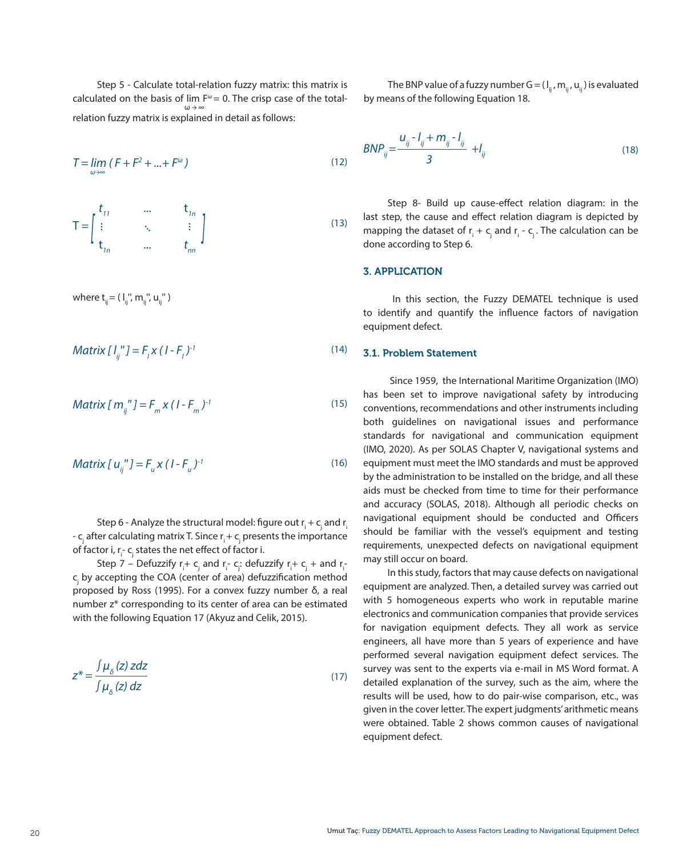Step 5 - Calculate total-relation fuzzy matrix: this matrix is calculated on the basis of lim  $F^{\omega} = 0$ . The crisp case of the totalrelation fuzzy matrix is explained in detail as follows: ω *→* ∞

$$
T = \lim_{\omega \to \infty} (F + F^2 + \dots + F^{\omega})
$$
\n(12)

$$
\mathsf{T} = \begin{bmatrix} t_{11} & \cdots & t_{1n} \\ \vdots & \ddots & \vdots \\ t_{1n} & \cdots & t_{nn} \end{bmatrix} \tag{13}
$$

where  $t_{ii} = ( 1_{ii}''', m_{ii}''', u_{ii}'' )$ 

*Matrix [ lij'' ] = Fl x ( I - Fl ) -1*

(15) *Matrix [ mij'' ] = Fm x ( I - Fm ) -1*

Matrix 
$$
[u_{ij}^{\ \prime\prime}] = F_u x (1 - F_u)^{-1}
$$
 (16)

Step 6 - Analyze the structural model: figure out  ${\sf r_i}+{\sf c_j}$  and  ${\sf r_i}$ -  $\mathsf{c}_{_\mathrm{j}}$  after calculating matrix T. Since  $\mathsf{r}_\mathsf{i}$  +  $\mathsf{c}_{_\mathrm{j}}$  presents the importance of factor i, r<sub>i</sub>-c<sub>j</sub> states the net effect of factor i.

Step 7 – Defuzzify  $r_i$ +  $c_j$  and  $r_i$ -  $c_j$ : defuzzify  $r_i$ +  $c_j$  + and  $r_i$ c<sub>,</sub> by accepting the COA (center of area) defuzzification method proposed by Ross (1995). For a convex fuzzy number δ, a real number z\* corresponding to its center of area can be estimated with the following Equation 17 (Akyuz and Celik, 2015).

$$
z^* = \frac{\int \mu_{\delta}(z) \, z \, dz}{\int \mu_{\delta}(z) \, dz}
$$

The BNP value of a fuzzy number  $G = (I_{ii}, m_{ii}, u_{ii})$  is evaluated by means of the following Equation 18.

$$
BNP_{ij} = \frac{u_{ij} - l_{ij} + m_{ij} - l_{ij}}{3} + l_{ij}
$$
\n(18)

Step 8- Build up cause-effect relation diagram: in the last step, the cause and effect relation diagram is depicted by mapping the dataset of  $r_i + c_j$  and  $r_i$  -  $c_j$ . The calculation can be done according to Step 6.

# 3. APPLICATION

 In this section, the Fuzzy DEMATEL technique is used to identify and quantify the influence factors of navigation equipment defect.

#### $(14)$ 3.1. Problem Statement

(17)

 Since 1959, the International Maritime Organization (IMO) has been set to improve navigational safety by introducing conventions, recommendations and other instruments including both guidelines on navigational issues and performance standards for navigational and communication equipment (IMO, 2020). As per SOLAS Chapter V, navigational systems and equipment must meet the IMO standards and must be approved by the administration to be installed on the bridge, and all these aids must be checked from time to time for their performance and accuracy (SOLAS, 2018). Although all periodic checks on navigational equipment should be conducted and Officers should be familiar with the vessel's equipment and testing requirements, unexpected defects on navigational equipment may still occur on board.

In this study, factors that may cause defects on navigational equipment are analyzed. Then, a detailed survey was carried out with 5 homogeneous experts who work in reputable marine electronics and communication companies that provide services for navigation equipment defects. They all work as service engineers, all have more than 5 years of experience and have performed several navigation equipment defect services. The survey was sent to the experts via e-mail in MS Word format. A detailed explanation of the survey, such as the aim, where the results will be used, how to do pair-wise comparison, etc., was given in the cover letter. The expert judgments' arithmetic means were obtained. Table 2 shows common causes of navigational equipment defect.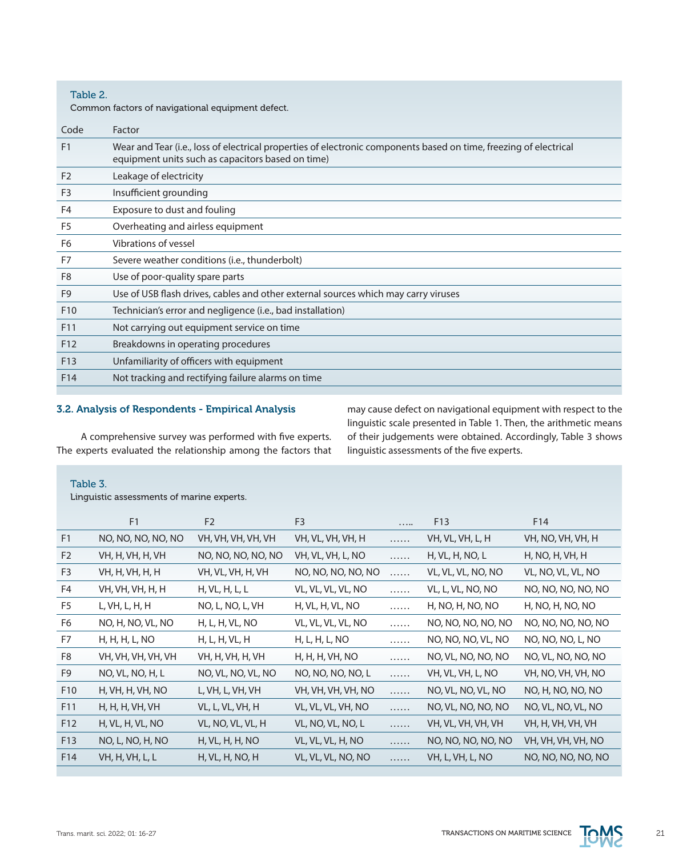Table 2.

Common factors of navigational equipment defect.

| Code            | Factor                                                                                                                                                                 |
|-----------------|------------------------------------------------------------------------------------------------------------------------------------------------------------------------|
| F <sub>1</sub>  | Wear and Tear (i.e., loss of electrical properties of electronic components based on time, freezing of electrical<br>equipment units such as capacitors based on time) |
| F <sub>2</sub>  | Leakage of electricity                                                                                                                                                 |
| F <sub>3</sub>  | Insufficient grounding                                                                                                                                                 |
| F4              | Exposure to dust and fouling                                                                                                                                           |
| F <sub>5</sub>  | Overheating and airless equipment                                                                                                                                      |
| F <sub>6</sub>  | Vibrations of vessel                                                                                                                                                   |
| F7              | Severe weather conditions (i.e., thunderbolt)                                                                                                                          |
| F8              | Use of poor-quality spare parts                                                                                                                                        |
| F <sub>9</sub>  | Use of USB flash drives, cables and other external sources which may carry viruses                                                                                     |
| F <sub>10</sub> | Technician's error and negligence (i.e., bad installation)                                                                                                             |
| F11             | Not carrying out equipment service on time                                                                                                                             |
| F <sub>12</sub> | Breakdowns in operating procedures                                                                                                                                     |
| F13             | Unfamiliarity of officers with equipment                                                                                                                               |
| F14             | Not tracking and rectifying failure alarms on time                                                                                                                     |
|                 |                                                                                                                                                                        |

# 3.2. Analysis of Respondents - Empirical Analysis

A comprehensive survey was performed with five experts. The experts evaluated the relationship among the factors that may cause defect on navigational equipment with respect to the linguistic scale presented in Table 1. Then, the arithmetic means of their judgements were obtained. Accordingly, Table 3 shows linguistic assessments of the five experts.

# Table 3.

Linguistic assessments of marine experts.

|                 | F <sub>1</sub>     | F <sub>2</sub>     | F <sub>3</sub>     |   | F13                | F14                |
|-----------------|--------------------|--------------------|--------------------|---|--------------------|--------------------|
| F <sub>1</sub>  | NO, NO, NO, NO, NO | VH, VH, VH, VH, VH | VH, VL, VH, VH, H  | . | VH, VL, VH, L, H   | VH, NO, VH, VH, H  |
| F <sub>2</sub>  | VH, H, VH, H, VH   | NO, NO, NO, NO, NO | VH, VL, VH, L, NO  | . | H, VL, H, NO, L    | H, NO, H, VH, H    |
| F <sub>3</sub>  | VH, H, VH, H, H    | VH, VL, VH, H, VH  | NO, NO, NO, NO, NO | . | VL, VL, VL, NO, NO | VL, NO, VL, VL, NO |
| F4              | VH, VH, VH, H, H   | H, VL, H, L, L     | VL, VL, VL, VL, NO | . | VL, L, VL, NO, NO  | NO, NO, NO, NO, NO |
| F5              | L, VH, L, H, H     | NO, L, NO, L, VH   | H, VL, H, VL, NO   | . | H, NO, H, NO, NO   | H, NO, H, NO, NO   |
| F6              | NO, H, NO, VL, NO  | H, L, H, VL, NO    | VL, VL, VL, VL, NO | . | NO, NO, NO, NO, NO | NO, NO, NO, NO, NO |
| F7              | H, H, H, L, NO     | H, L, H, VL, H     | H, L, H, L, NO     | . | NO, NO, NO, VL, NO | NO, NO, NO, L, NO  |
| F <sub>8</sub>  | VH, VH, VH, VH, VH | VH, H, VH, H, VH   | H, H, H, VH, NO    | . | NO, VL, NO, NO, NO | NO, VL, NO, NO, NO |
| F9              | NO, VL, NO, H, L   | NO, VL, NO, VL, NO | NO, NO, NO, NO, L  | . | VH, VL, VH, L, NO  | VH, NO, VH, VH, NO |
| F <sub>10</sub> | H, VH, H, VH, NO   | L, VH, L, VH, VH   | VH, VH, VH, VH, NO | . | NO, VL, NO, VL, NO | NO, H, NO, NO, NO  |
| F11             | H, H, H, VH, VH    | VL, L, VL, VH, H   | VL, VL, VL, VH, NO | . | NO, VL, NO, NO, NO | NO, VL, NO, VL, NO |
| F12             | H, VL, H, VL, NO   | VL, NO, VL, VL, H  | VL, NO, VL, NO, L  | . | VH, VL, VH, VH, VH | VH, H, VH, VH, VH  |
| F13             | NO, L, NO, H, NO   | H, VL, H, H, NO    | VL, VL, VL, H, NO  | . | NO, NO, NO, NO, NO | VH, VH, VH, VH, NO |
| F14             | VH, H, VH, L, L    | H, VL, H, NO, H    | VL, VL, VL, NO, NO | . | VH, L, VH, L, NO   | NO, NO, NO, NO, NO |

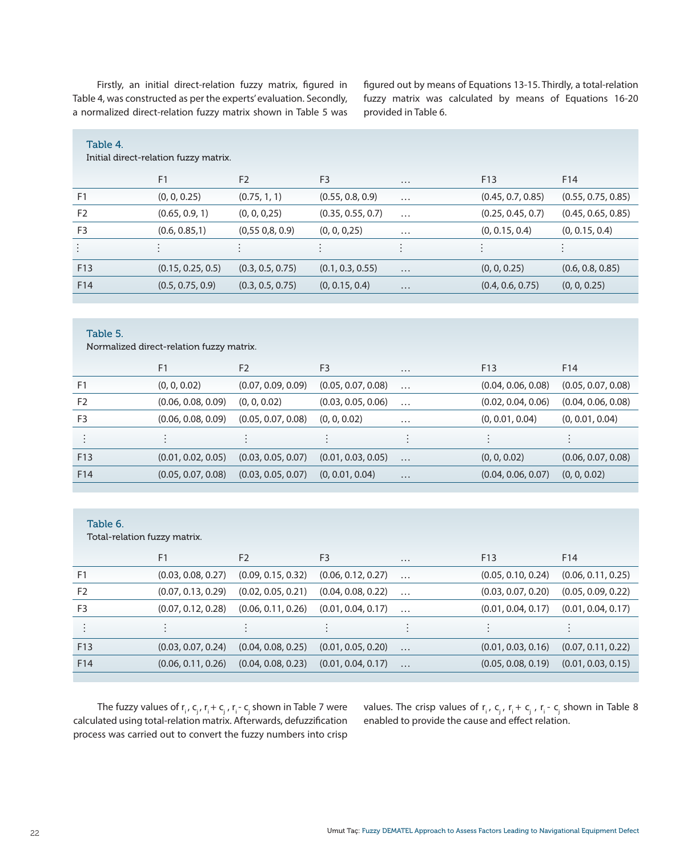Firstly, an initial direct-relation fuzzy matrix, figured in Table 4, was constructed as per the experts' evaluation. Secondly, a normalized direct-relation fuzzy matrix shown in Table 5 was

figured out by means of Equations 13-15. Thirdly, a total-relation fuzzy matrix was calculated by means of Equations 16-20 provided in Table 6.

| Table 4.       |                                       |                  |                   |          |                   |                    |
|----------------|---------------------------------------|------------------|-------------------|----------|-------------------|--------------------|
|                | Initial direct-relation fuzzy matrix. |                  |                   |          |                   |                    |
|                |                                       |                  |                   |          |                   |                    |
|                | F <sub>1</sub>                        | F <sub>2</sub>   | F <sub>3</sub>    | $\cdots$ | F <sub>13</sub>   | F <sub>14</sub>    |
| F <sub>1</sub> | (0, 0, 0.25)                          | (0.75, 1, 1)     | (0.55, 0.8, 0.9)  | $\cdots$ | (0.45, 0.7, 0.85) | (0.55, 0.75, 0.85) |
| F <sub>2</sub> | (0.65, 0.9, 1)                        | (0, 0, 0, 25)    | (0.35, 0.55, 0.7) | $\cdots$ | (0.25, 0.45, 0.7) | (0.45, 0.65, 0.85) |
| F <sub>3</sub> | (0.6, 0.85, 1)                        | (0,550,8,0.9)    | (0, 0, 0, 25)     | $\cdots$ | (0, 0.15, 0.4)    | (0, 0.15, 0.4)     |
| $\vdots$       |                                       |                  |                   |          |                   | $\bullet$          |
| F13            | (0.15, 0.25, 0.5)                     | (0.3, 0.5, 0.75) | (0.1, 0.3, 0.55)  | $\cdots$ | (0, 0, 0.25)      | (0.6, 0.8, 0.85)   |
| F14            | (0.5, 0.75, 0.9)                      | (0.3, 0.5, 0.75) | (0, 0.15, 0.4)    | $\cdots$ | (0.4, 0.6, 0.75)  | (0, 0, 0.25)       |
|                |                                       |                  |                   |          |                   |                    |

#### Table 5.

Normalized direct-relation fuzzy matrix.

|                 | F <sub>1</sub>     | F <sub>2</sub>     | F <sub>3</sub>     | $\cdots$  | F <sub>13</sub>    | F <sub>14</sub>    |
|-----------------|--------------------|--------------------|--------------------|-----------|--------------------|--------------------|
| F <sub>1</sub>  | (0, 0, 0.02)       | (0.07, 0.09, 0.09) | (0.05, 0.07, 0.08) | $\cdots$  | (0.04, 0.06, 0.08) | (0.05, 0.07, 0.08) |
| F <sub>2</sub>  | (0.06, 0.08, 0.09) | (0, 0, 0.02)       | (0.03, 0.05, 0.06) | $\cdots$  | (0.02, 0.04, 0.06) | (0.04, 0.06, 0.08) |
| F <sub>3</sub>  | (0.06, 0.08, 0.09) | (0.05, 0.07, 0.08) | (0, 0, 0.02)       | $\cdots$  | (0, 0.01, 0.04)    | (0, 0.01, 0.04)    |
|                 |                    |                    |                    | $\bullet$ |                    |                    |
| F <sub>13</sub> | (0.01, 0.02, 0.05) | (0.03, 0.05, 0.07) | (0.01, 0.03, 0.05) | $\cdots$  | (0, 0, 0.02)       | (0.06, 0.07, 0.08) |
| F <sub>14</sub> | (0.05, 0.07, 0.08) | (0.03, 0.05, 0.07) | (0, 0.01, 0.04)    | $\cdots$  | (0.04, 0.06, 0.07) | (0, 0, 0.02)       |
|                 |                    |                    |                    |           |                    |                    |

#### Table 6.

Total-relation fuzzy matrix.

|                 | F1                 | F <sub>2</sub>     | F <sub>3</sub>     | $\cdots$  | F <sub>13</sub>    | F14                |
|-----------------|--------------------|--------------------|--------------------|-----------|--------------------|--------------------|
| F <sub>1</sub>  | (0.03, 0.08, 0.27) | (0.09, 0.15, 0.32) | (0.06, 0.12, 0.27) | $\cdots$  | (0.05, 0.10, 0.24) | (0.06, 0.11, 0.25) |
| F <sub>2</sub>  | (0.07, 0.13, 0.29) | (0.02, 0.05, 0.21) | (0.04, 0.08, 0.22) | $\cdots$  | (0.03, 0.07, 0.20) | (0.05, 0.09, 0.22) |
| F <sub>3</sub>  | (0.07, 0.12, 0.28) | (0.06, 0.11, 0.26) | (0.01, 0.04, 0.17) | $\ddotsc$ | (0.01, 0.04, 0.17) | (0.01, 0.04, 0.17) |
|                 |                    |                    |                    |           |                    |                    |
| F <sub>13</sub> | (0.03, 0.07, 0.24) | (0.04, 0.08, 0.25) | (0.01, 0.05, 0.20) | $\cdots$  | (0.01, 0.03, 0.16) | (0.07, 0.11, 0.22) |
| F <sub>14</sub> | (0.06, 0.11, 0.26) | (0.04, 0.08, 0.23) | (0.01, 0.04, 0.17) | $\cdots$  | (0.05, 0.08, 0.19) | (0.01, 0.03, 0.15) |
|                 |                    |                    |                    |           |                    |                    |

The fuzzy values of  $r_i$ ,  $c_j$ ,  $r_i + c_j$ ,  $r_i$ -  $c_j$  shown in Table 7 were calculated using total-relation matrix. Afterwards, defuzzification process was carried out to convert the fuzzy numbers into crisp values. The crisp values of  $r_i$ ,  $c_j$ ,  $r_i + c_j$ ,  $r_i - c_j$  shown in Table 8 enabled to provide the cause and effect relation.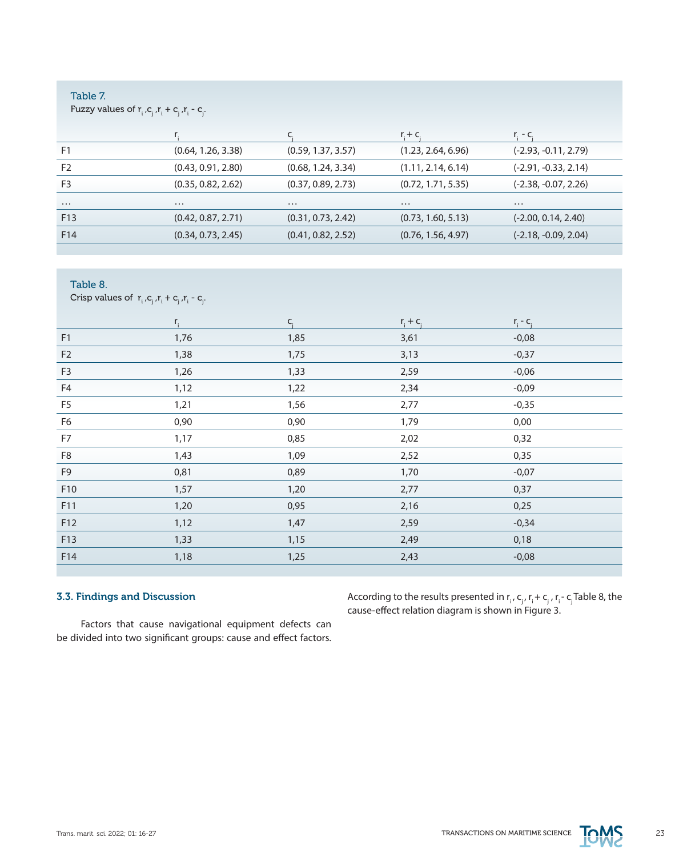# Table 7.

Table 8.

Fuzzy values of  $r_i^{}, c_j^{}, r_i^{} + c_j^{}, r_i^{} - c_j^{}$ .

|                |                    |                    | $r + c$            | r. - c.                |
|----------------|--------------------|--------------------|--------------------|------------------------|
| F <sub>1</sub> | (0.64, 1.26, 3.38) | (0.59, 1.37, 3.57) | (1.23, 2.64, 6.96) | $(-2.93, -0.11, 2.79)$ |
| F <sub>2</sub> | (0.43, 0.91, 2.80) | (0.68, 1.24, 3.34) | (1.11, 2.14, 6.14) | $(-2.91, -0.33, 2.14)$ |
| F <sub>3</sub> | (0.35, 0.82, 2.62) | (0.37, 0.89, 2.73) | (0.72, 1.71, 5.35) | $(-2.38, -0.07, 2.26)$ |
| $\cdots$       | $\cdots$           | $\cdots$           | $\cdots$           | $\cdots$               |
| F13            | (0.42, 0.87, 2.71) | (0.31, 0.73, 2.42) | (0.73, 1.60, 5.13) | $(-2.00, 0.14, 2.40)$  |
| F14            | (0.34, 0.73, 2.45) | (0.41, 0.82, 2.52) | (0.76, 1.56, 4.97) | $(-2.18, -0.09, 2.04)$ |
|                |                    |                    |                    |                        |

|      | $C_i$                                                                      |      |             |             |
|------|----------------------------------------------------------------------------|------|-------------|-------------|
| 1,76 | 1,85                                                                       | 3,61 | $-0,08$     |             |
| 1,38 | 1,75                                                                       | 3,13 | $-0,37$     |             |
| 1,26 | 1,33                                                                       | 2,59 | $-0,06$     |             |
| 1,12 | 1,22                                                                       | 2,34 | $-0,09$     |             |
| 1,21 | 1,56                                                                       | 2,77 | $-0,35$     |             |
| 0,90 | 0,90                                                                       | 1,79 | 0,00        |             |
| 1,17 | 0,85                                                                       | 2,02 | 0,32        |             |
| 1,43 | 1,09                                                                       | 2,52 | 0,35        |             |
| 0,81 | 0,89                                                                       | 1,70 | $-0,07$     |             |
| 1,57 | 1,20                                                                       | 2,77 | 0,37        |             |
| 1,20 | 0,95                                                                       | 2,16 | 0,25        |             |
| 1,12 | 1,47                                                                       | 2,59 | $-0,34$     |             |
| 1,33 | 1,15                                                                       | 2,49 | 0,18        |             |
| 1,18 | 1,25                                                                       | 2,43 | $-0,08$     |             |
|      | Crisp values of $r_i$ , $c_j$ , $r_i$ + $c_j$ , $r_i$ - $c_j$ .<br>$r_{i}$ |      | $r_i + c_i$ | $r_i - c_i$ |

# 3.3. Findings and Discussion

According to the results presented in  $r_i$ ,  $c_j$ ,  $r_i$  +  $c_j$ ,  $r_i$  -  $c_j$  Table 8, the cause-effect relation diagram is shown in Figure 3.

Factors that cause navigational equipment defects can be divided into two significant groups: cause and effect factors.

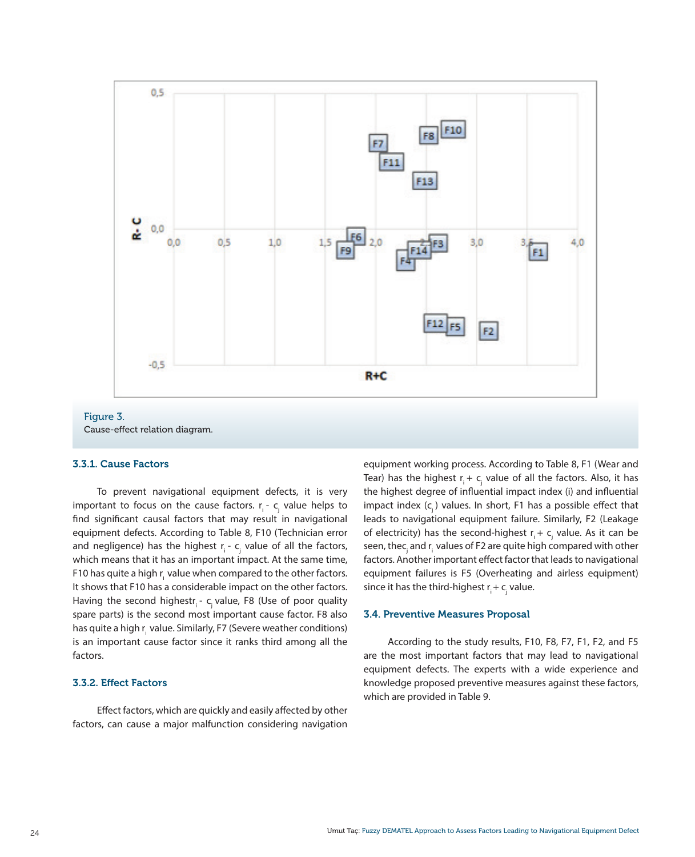

# 3.3.1. Cause Factors

To prevent navigational equipment defects, it is very important to focus on the cause factors. r<sub>i</sub> - c<sub>j</sub> value helps to find significant causal factors that may result in navigational equipment defects. According to Table 8, F10 (Technician error and negligence) has the highest  $r_{i}$  -  $c_{j}$  value of all the factors, which means that it has an important impact. At the same time, F10 has quite a high  $r_i$  value when compared to the other factors. It shows that F10 has a considerable impact on the other factors. Having the second highestr<sub>i</sub> - c<sub>i</sub> value, F8 (Use of poor quality spare parts) is the second most important cause factor. F8 also has quite a high r<sub>i</sub> value. Similarly, F7 (Severe weather conditions) is an important cause factor since it ranks third among all the factors.

# 3.3.2. Effect Factors

Effect factors, which are quickly and easily affected by other factors, can cause a major malfunction considering navigation equipment working process. According to Table 8, F1 (Wear and Tear) has the highest  ${\sf r}_{\sf i}+{\sf c}_{\sf j}$  value of all the factors. Also, it has the highest degree of influential impact index (i) and influential impact index  $(c_i)$  values. In short, F1 has a possible effect that leads to navigational equipment failure. Similarly, F2 (Leakage of electricity) has the second-highest  $r_i + c_j$  value. As it can be seen, thec<sub>j</sub> and r<sub>i</sub> values of F2 are quite high compared with other factors. Another important effect factor that leads to navigational equipment failures is F5 (Overheating and airless equipment) since it has the third-highest  $\mathsf{r}_{_\mathsf{j}}\text{+} \mathsf{c}_{_\mathsf{j}}$  value.

#### 3.4. Preventive Measures Proposal

According to the study results, F10, F8, F7, F1, F2, and F5 are the most important factors that may lead to navigational equipment defects. The experts with a wide experience and knowledge proposed preventive measures against these factors, which are provided in Table 9.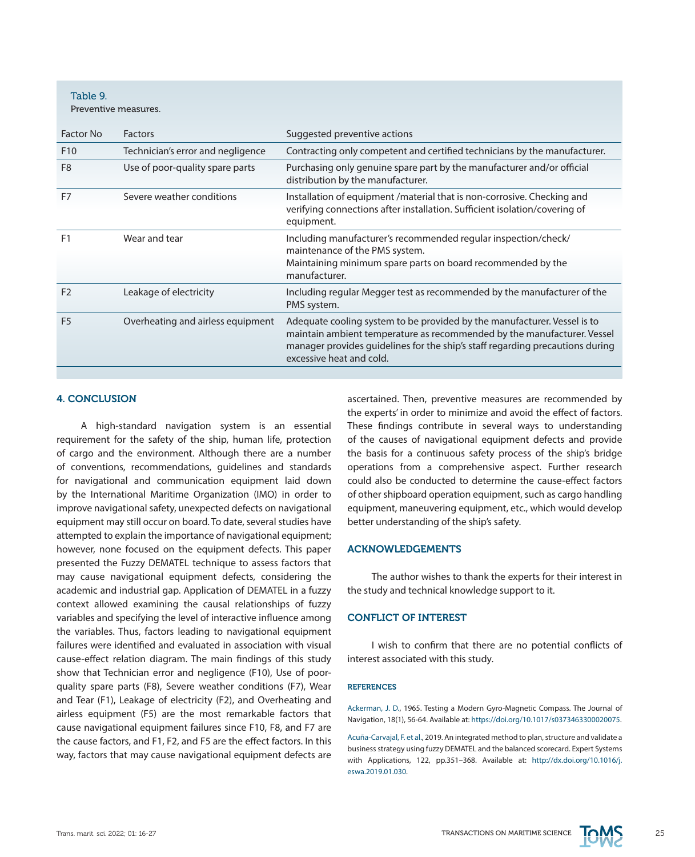Table 9. Preventive measures.

| Factor No       | <b>Factors</b>                    | Suggested preventive actions                                                                                                                                                                                                                                     |
|-----------------|-----------------------------------|------------------------------------------------------------------------------------------------------------------------------------------------------------------------------------------------------------------------------------------------------------------|
| F <sub>10</sub> | Technician's error and negligence | Contracting only competent and certified technicians by the manufacturer.                                                                                                                                                                                        |
| F <sub>8</sub>  | Use of poor-quality spare parts   | Purchasing only genuine spare part by the manufacturer and/or official<br>distribution by the manufacturer.                                                                                                                                                      |
| F7              | Severe weather conditions         | Installation of equipment /material that is non-corrosive. Checking and<br>verifying connections after installation. Sufficient isolation/covering of<br>equipment.                                                                                              |
| F <sub>1</sub>  | Wear and tear                     | Including manufacturer's recommended regular inspection/check/<br>maintenance of the PMS system.<br>Maintaining minimum spare parts on board recommended by the<br>manufacturer.                                                                                 |
| F <sub>2</sub>  | Leakage of electricity            | Including regular Megger test as recommended by the manufacturer of the<br>PMS system.                                                                                                                                                                           |
| F <sub>5</sub>  | Overheating and airless equipment | Adequate cooling system to be provided by the manufacturer. Vessel is to<br>maintain ambient temperature as recommended by the manufacturer. Vessel<br>manager provides guidelines for the ship's staff regarding precautions during<br>excessive heat and cold. |

# 4. CONCLUSION

A high-standard navigation system is an essential requirement for the safety of the ship, human life, protection of cargo and the environment. Although there are a number of conventions, recommendations, guidelines and standards for navigational and communication equipment laid down by the International Maritime Organization (IMO) in order to improve navigational safety, unexpected defects on navigational equipment may still occur on board. To date, several studies have attempted to explain the importance of navigational equipment; however, none focused on the equipment defects. This paper presented the Fuzzy DEMATEL technique to assess factors that may cause navigational equipment defects, considering the academic and industrial gap. Application of DEMATEL in a fuzzy context allowed examining the causal relationships of fuzzy variables and specifying the level of interactive influence among the variables. Thus, factors leading to navigational equipment failures were identified and evaluated in association with visual cause-effect relation diagram. The main findings of this study show that Technician error and negligence (F10), Use of poorquality spare parts (F8), Severe weather conditions (F7), Wear and Tear (F1), Leakage of electricity (F2), and Overheating and airless equipment (F5) are the most remarkable factors that cause navigational equipment failures since F10, F8, and F7 are the cause factors, and F1, F2, and F5 are the effect factors. In this way, factors that may cause navigational equipment defects are

ascertained. Then, preventive measures are recommended by the experts' in order to minimize and avoid the effect of factors. These findings contribute in several ways to understanding of the causes of navigational equipment defects and provide the basis for a continuous safety process of the ship's bridge operations from a comprehensive aspect. Further research could also be conducted to determine the cause-effect factors of other shipboard operation equipment, such as cargo handling equipment, maneuvering equipment, etc., which would develop better understanding of the ship's safety.

# ACKNOWLEDGEMENTS

The author wishes to thank the experts for their interest in the study and technical knowledge support to it.

# CONFLICT OF INTEREST

I wish to confirm that there are no potential conflicts of interest associated with this study.

#### **REFERENCES**

Ackerman, J. D., 1965. Testing a Modern Gyro-Magnetic Compass. The Journal of Navigation, 18(1), 56-64. Available at: [https://doi.org/10.1017/s0373463300020075.](https://doi.org/10.1017/s0373463300020075)

Acuña-Carvajal, F. et al., 2019. An integrated method to plan, structure and validate a business strategy using fuzzy DEMATEL and the balanced scorecard. Expert Systems with Applications, 122, pp.351–368. Available at: [http://dx.doi.org/10.1016/j.](http://dx.doi.org/10.1016/j.eswa.2019.01.030) [eswa.2019.01.030](http://dx.doi.org/10.1016/j.eswa.2019.01.030).

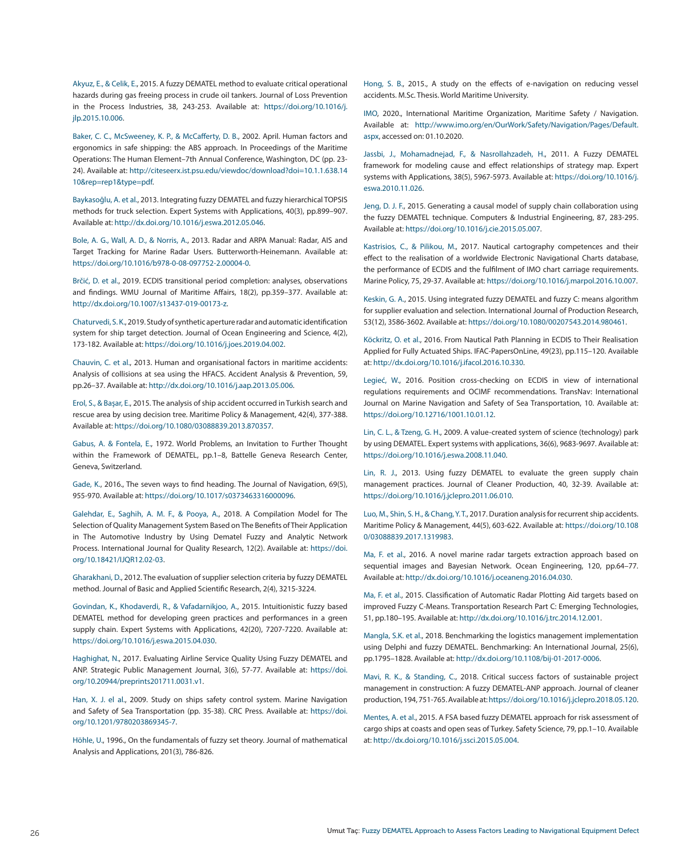Akyuz, E., & Celik, E., 2015. A fuzzy DEMATEL method to evaluate critical operational hazards during gas freeing process in crude oil tankers. Journal of Loss Prevention in the Process Industries, 38, 243-253. Available at: [https://doi.org/10.1016/j.](https://doi.org/10.1016/j.jlp.2015.10.006) [jlp.2015.10.006.](https://doi.org/10.1016/j.jlp.2015.10.006)

Baker, C. C., McSweeney, K. P., & McCafferty, D. B., 2002. April. Human factors and ergonomics in safe shipping: the ABS approach. In Proceedings of the Maritime Operations: The Human Element–7th Annual Conference, Washington, DC (pp. 23- 24). Available at: [http://citeseerx.ist.psu.edu/viewdoc/download?doi=10.1.1.638.14](http://citeseerx.ist.psu.edu/viewdoc/download?doi=10.1.1.638.1410&rep=rep1&type=pdf) [10&rep=rep1&type=pdf.](http://citeseerx.ist.psu.edu/viewdoc/download?doi=10.1.1.638.1410&rep=rep1&type=pdf)

Baykasoğlu, A. et al., 2013. Integrating fuzzy DEMATEL and fuzzy hierarchical TOPSIS methods for truck selection. Expert Systems with Applications, 40(3), pp.899–907. Available at: <http://dx.doi.org/10.1016/j.eswa.2012.05.046>.

Bole, A. G., Wall, A. D., & Norris, A., 2013. Radar and ARPA Manual: Radar, AIS and Target Tracking for Marine Radar Users. Butterworth-Heinemann. Available at: <https://doi.org/10.1016/b978-0-08-097752-2.00004-0>.

Brčić, D. et al., 2019. ECDIS transitional period completion: analyses, observations and findings. WMU Journal of Maritime Affairs, 18(2), pp.359–377. Available at: [http://dx.doi.org/10.1007/s13437-019-00173-z.](http://dx.doi.org/10.1007/s13437-019-00173-z)

Chaturvedi, S. K., 2019. Study of synthetic aperture radar and automatic identification system for ship target detection. Journal of Ocean Engineering and Science, 4(2), 173-182. Available at: [https://doi.org/10.1016/j.joes.2019.04.002.](https://doi.org/10.1016/j.joes.2019.04.002)

Chauvin, C. et al., 2013. Human and organisational factors in maritime accidents: Analysis of collisions at sea using the HFACS. Accident Analysis & Prevention, 59, pp.26–37. Available at: [http://dx.doi.org/10.1016/j.aap.2013.05.006.](http://dx.doi.org/10.1016/j.aap.2013.05.006)

Erol, S., & Başar, E., 2015. The analysis of ship accident occurred in Turkish search and rescue area by using decision tree. Maritime Policy & Management, 42(4), 377-388. Available at: <https://doi.org/10.1080/03088839.2013.870357>.

Gabus, A. & Fontela, E., 1972. World Problems, an Invitation to Further Thought within the Framework of DEMATEL, pp.1–8, Battelle Geneva Research Center, Geneva, Switzerland.

Gade, K., 2016., The seven ways to find heading. The Journal of Navigation, 69(5), 955-970. Available at: [https://doi.org/10.1017/s0373463316000096.](https://doi.org/10.1017/s0373463316000096)

Galehdar, E., Saghih, A. M. F., & Pooya, A., 2018. A Compilation Model for The Selection of Quality Management System Based on The Benefits of Their Application in The Automotive Industry by Using Dematel Fuzzy and Analytic Network Process. International Journal for Quality Research, 12(2). Available at: [https://doi.](https://doi.org/10.18421/IJQR12.02-03) [org/10.18421/IJQR12.02-03](https://doi.org/10.18421/IJQR12.02-03).

Gharakhani, D., 2012. The evaluation of supplier selection criteria by fuzzy DEMATEL method. Journal of Basic and Applied Scientific Research, 2(4), 3215-3224.

Govindan, K., Khodaverdi, R., & Vafadarnikjoo, A., 2015. Intuitionistic fuzzy based DEMATEL method for developing green practices and performances in a green supply chain. Expert Systems with Applications, 42(20), 7207-7220. Available at: <https://doi.org/10.1016/j.eswa.2015.04.030>.

Haghighat, N., 2017. Evaluating Airline Service Quality Using Fuzzy DEMATEL and ANP. Strategic Public Management Journal, 3(6), 57-77. Available at: [https://doi.](https://doi.org/10.20944/preprints201711.0031.v1) [org/10.20944/preprints201711.0031.v1.](https://doi.org/10.20944/preprints201711.0031.v1)

Han, X. J. el al., 2009. Study on ships safety control system. Marine Navigation and Safety of Sea Transportation (pp. 35-38). CRC Press. Available at: [https://doi.](https://doi.org/10.1201/9780203869345-7) [org/10.1201/9780203869345-7.](https://doi.org/10.1201/9780203869345-7)

Höhle, U., 1996., On the fundamentals of fuzzy set theory. Journal of mathematical Analysis and Applications, 201(3), 786-826.

Hong, S. B., 2015., A study on the effects of e-navigation on reducing vessel accidents. M.Sc. Thesis. World Maritime University.

IMO, 2020., International Maritime Organization, Maritime Safety / Navigation. Available at: [http://www.imo.org/en/OurWork/Safety/Navigation/Pages/Default.](http://www.imo.org/en/OurWork/Safety/Navigation/Pages/Default.aspx) [aspx](http://www.imo.org/en/OurWork/Safety/Navigation/Pages/Default.aspx), accessed on: 01.10.2020.

Jassbi, J., Mohamadnejad, F., & Nasrollahzadeh, H., 2011. A Fuzzy DEMATEL framework for modeling cause and effect relationships of strategy map. Expert systems with Applications, 38(5), 5967-5973. Available at: [https://doi.org/10.1016/j.](https://doi.org/10.1016/j.eswa.2010.11.026) [eswa.2010.11.026](https://doi.org/10.1016/j.eswa.2010.11.026).

Jeng, D. J. F., 2015. Generating a causal model of supply chain collaboration using the fuzzy DEMATEL technique. Computers & Industrial Engineering, 87, 283-295. Available at: [https://doi.org/10.1016/j.cie.2015.05.007.](https://doi.org/10.1016/j.cie.2015.05.007)

Kastrisios, C., & Pilikou, M., 2017. Nautical cartography competences and their effect to the realisation of a worldwide Electronic Navigational Charts database, the performance of ECDIS and the fulfilment of IMO chart carriage requirements. Marine Policy, 75, 29-37. Available at: [https://doi.org/10.1016/j.marpol.2016.10.007.](https://doi.org/10.1016/j.marpol.2016.10.007)

Keskin, G. A., 2015. Using integrated fuzzy DEMATEL and fuzzy C: means algorithm for supplier evaluation and selection. International Journal of Production Research, 53(12), 3586-3602. Available at: <https://doi.org/10.1080/00207543.2014.980461>.

Köckritz, O. et al., 2016. From Nautical Path Planning in ECDIS to Their Realisation Applied for Fully Actuated Ships. IFAC-PapersOnLine, 49(23), pp.115–120. Available at: [http://dx.doi.org/10.1016/j.ifacol.2016.10.330.](http://dx.doi.org/10.1016/j.ifacol.2016.10.330)

Legieć, W., 2016. Position cross-checking on ECDIS in view of international regulations requirements and OCIMF recommendations. TransNav: International Journal on Marine Navigation and Safety of Sea Transportation, 10. Available at: [https://doi.org/10.12716/1001.10.01.12.](https://doi.org/10.12716/1001.10.01.12)

Lin, C. L., & Tzeng, G. H., 2009. A value-created system of science (technology) park by using DEMATEL. Expert systems with applications, 36(6), 9683-9697. Available at: [https://doi.org/10.1016/j.eswa.2008.11.040.](https://doi.org/10.1016/j.eswa.2008.11.040)

Lin, R. J., 2013. Using fuzzy DEMATEL to evaluate the green supply chain management practices. Journal of Cleaner Production, 40, 32-39. Available at: [https://doi.org/10.1016/j.jclepro.2011.06.010.](https://doi.org/10.1016/j.jclepro.2011.06.010)

Luo, M., Shin, S. H., & Chang, Y. T., 2017. Duration analysis for recurrent ship accidents. Maritime Policy & Management, 44(5), 603-622. Available at: [https://doi.org/10.108](https://doi.org/10.1080/03088839.2017.1319983) [0/03088839.2017.1319983](https://doi.org/10.1080/03088839.2017.1319983).

Ma, F. et al., 2016. A novel marine radar targets extraction approach based on sequential images and Bayesian Network. Ocean Engineering, 120, pp.64–77. Available at: <http://dx.doi.org/10.1016/j.oceaneng.2016.04.030>.

Ma, F. et al., 2015. Classification of Automatic Radar Plotting Aid targets based on improved Fuzzy C-Means. Transportation Research Part C: Emerging Technologies, 51, pp.180–195. Available at: <http://dx.doi.org/10.1016/j.trc.2014.12.001>.

Mangla, S.K. et al., 2018. Benchmarking the logistics management implementation using Delphi and fuzzy DEMATEL. Benchmarking: An International Journal, 25(6), pp.1795–1828. Available at: [http://dx.doi.org/10.1108/bij-01-2017-0006.](http://dx.doi.org/10.1108/bij-01-2017-0006)

Mavi, R. K., & Standing, C., 2018. Critical success factors of sustainable project management in construction: A fuzzy DEMATEL-ANP approach. Journal of cleaner production, 194, 751-765. Available at:<https://doi.org/10.1016/j.jclepro.2018.05.120>.

Mentes, A. et al., 2015. A FSA based fuzzy DEMATEL approach for risk assessment of cargo ships at coasts and open seas of Turkey. Safety Science, 79, pp.1–10. Available at: [http://dx.doi.org/10.1016/j.ssci.2015.05.004.](http://dx.doi.org/10.1016/j.ssci.2015.05.004)